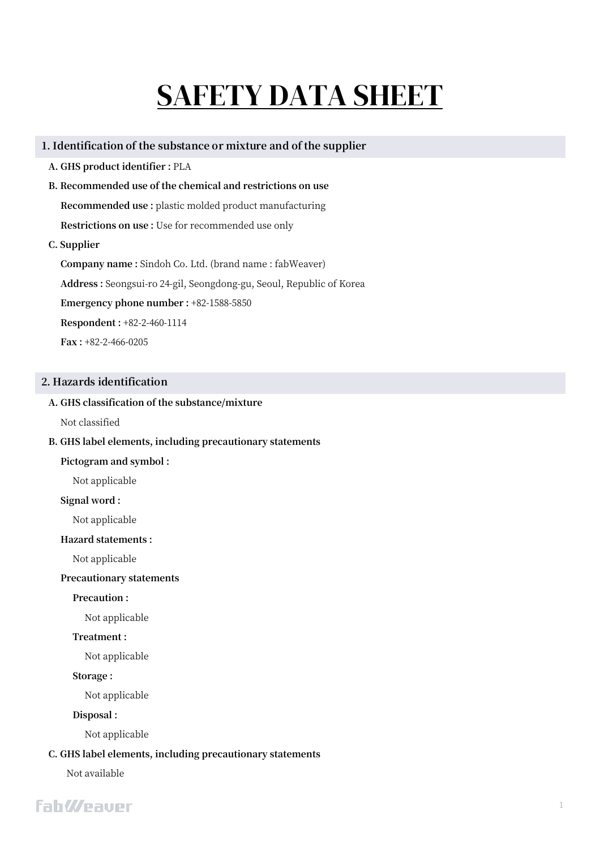# SAFETY DATA SHEET

#### **1. Identification of the substance or mixture and of the supplier**

- **A. GHS product identifier :** PLA
- **B. Recommended use of the chemical and restrictions on use Recommended use :** plastic molded product manufacturing **Restrictions on use :** Use for recommended use only
- **C. Supplier**

**Company name :** Sindoh Co. Ltd. (brand name : fabWeaver) **Address :** Seongsui-ro 24-gil, Seongdong-gu, Seoul, Republic of Korea **Emergency phone number :** +82-1588-5850 **Respondent :** +82-2-460-1114 **Fax :** +82-2-466-0205

#### **2. Hazards identification**

#### **A. GHS classification of the substance/mixture**

Not classified

#### **B. GHS label elements, including precautionary statements**

#### **Pictogram and symbol :**

Not applicable

#### **Signal word :**

Not applicable

#### **Hazard statements :**

Not applicable

#### **Precautionary statements**

**Precaution :** 

Not applicable

#### **Treatment :**

Not applicable

#### **Storage :**

Not applicable

#### **Disposal :**

Not applicable

#### **C. GHS label elements, including precautionary statements**

Not available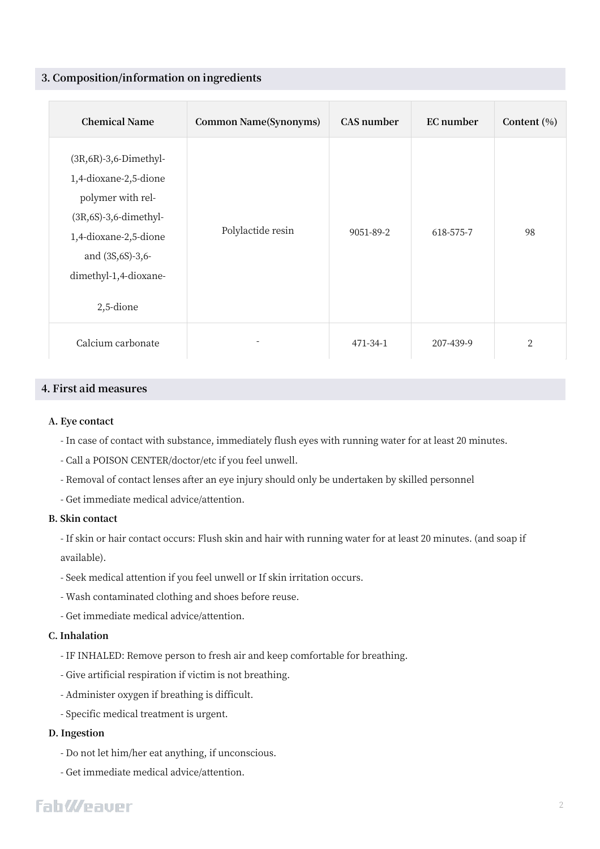#### **3. Composition/information on ingredients**

| <b>Chemical Name</b>                                                                                                                                                                       | <b>Common Name(Synonyms)</b> | <b>CAS</b> number | EC number | Content (%)    |
|--------------------------------------------------------------------------------------------------------------------------------------------------------------------------------------------|------------------------------|-------------------|-----------|----------------|
| $(3R, 6R)$ -3,6-Dimethyl-<br>1,4-dioxane-2,5-dione<br>polymer with rel-<br>$(3R, 6S) - 3, 6$ -dimethyl-<br>1,4-dioxane-2,5-dione<br>and (3S,6S)-3,6-<br>dimethyl-1,4-dioxane-<br>2,5-dione | Polylactide resin            | 9051-89-2         | 618-575-7 | 98             |
| Calcium carbonate                                                                                                                                                                          |                              | 471-34-1          | 207-439-9 | $\overline{2}$ |

#### **4. First aid measures**

#### **A. Eye contact**

- In case of contact with substance, immediately flush eyes with running water for at least 20 minutes.

- Call a POISON CENTER/doctor/etc if you feel unwell.
- Removal of contact lenses after an eye injury should only be undertaken by skilled personnel
- Get immediate medical advice/attention.

#### **B. Skin contact**

- If skin or hair contact occurs: Flush skin and hair with running water for at least 20 minutes. (and soap if available).

- Seek medical attention if you feel unwell or If skin irritation occurs.
- Wash contaminated clothing and shoes before reuse.
- Get immediate medical advice/attention.

#### **C. Inhalation**

- IF INHALED: Remove person to fresh air and keep comfortable for breathing.
- Give artificial respiration if victim is not breathing.
- Administer oxygen if breathing is difficult.
- Specific medical treatment is urgent.

#### **D. Ingestion**

- Do not let him/her eat anything, if unconscious.
- Get immediate medical advice/attention.

# **FahWeauer**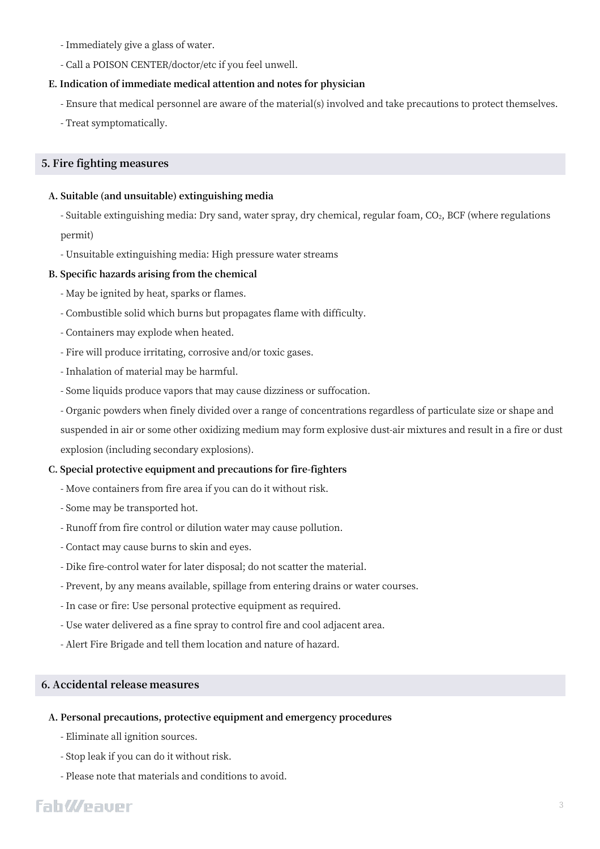- Immediately give a glass of water.
- Call a POISON CENTER/doctor/etc if you feel unwell.

#### **E. Indication of immediate medical attention and notes for physician**

- Ensure that medical personnel are aware of the material(s) involved and take precautions to protect themselves.
- Treat symptomatically.

#### **5. Fire fighting measures**

#### **A. Suitable (and unsuitable) extinguishing media**

- Suitable extinguishing media: Dry sand, water spray, dry chemical, regular foam, CO<sub>2</sub>, BCF (where regulations permit)

- Unsuitable extinguishing media: High pressure water streams

#### **B. Specific hazards arising from the chemical**

- May be ignited by heat, sparks or flames.
- Combustible solid which burns but propagates flame with difficulty.
- Containers may explode when heated.
- Fire will produce irritating, corrosive and/or toxic gases.
- Inhalation of material may be harmful.
- Some liquids produce vapors that may cause dizziness or suffocation.
- Organic powders when finely divided over a range of concentrations regardless of particulate size or shape and

suspended in air or some other oxidizing medium may form explosive dust-air mixtures and result in a fire or dust explosion (including secondary explosions).

#### **C. Special protective equipment and precautions for fire-fighters**

- Move containers from fire area if you can do it without risk.
- Some may be transported hot.
- Runoff from fire control or dilution water may cause pollution.
- Contact may cause burns to skin and eyes.
- Dike fire-control water for later disposal; do not scatter the material.
- Prevent, by any means available, spillage from entering drains or water courses.
- In case or fire: Use personal protective equipment as required.
- Use water delivered as a fine spray to control fire and cool adjacent area.
- Alert Fire Brigade and tell them location and nature of hazard.

#### **6. Accidental release measures**

#### **A. Personal precautions, protective equipment and emergency procedures**

- Eliminate all ignition sources.
- Stop leak if you can do it without risk.
- Please note that materials and conditions to avoid.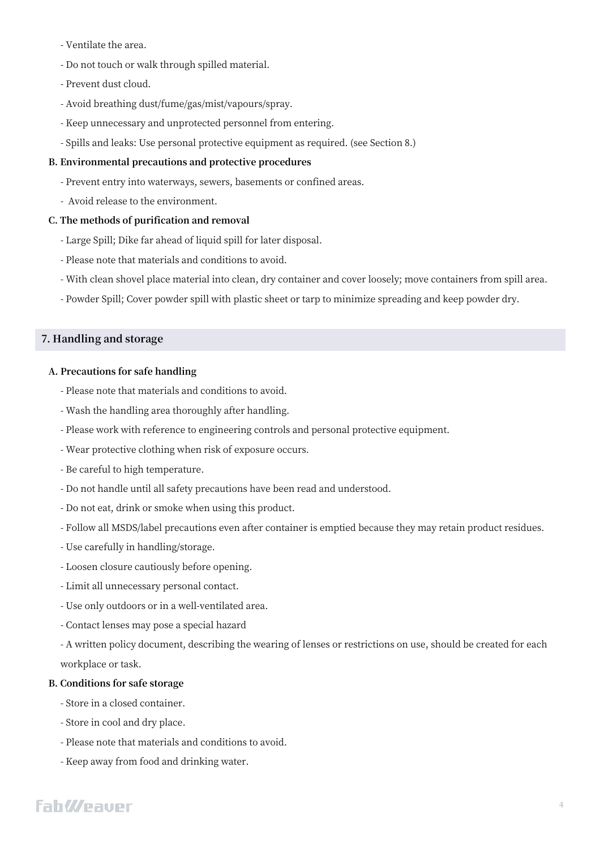- Ventilate the area.
- Do not touch or walk through spilled material.
- Prevent dust cloud.
- Avoid breathing dust/fume/gas/mist/vapours/spray.
- Keep unnecessary and unprotected personnel from entering.
- Spills and leaks: Use personal protective equipment as required. (see Section 8.)

### **B. Environmental precautions and protective procedures**

- Prevent entry into waterways, sewers, basements or confined areas.
- Avoid release to the environment.

### **C. The methods of purification and removal**

- Large Spill; Dike far ahead of liquid spill for later disposal.
- Please note that materials and conditions to avoid.
- With clean shovel place material into clean, dry container and cover loosely; move containers from spill area.
- Powder Spill; Cover powder spill with plastic sheet or tarp to minimize spreading and keep powder dry.

### **7. Handling and storage**

#### **A. Precautions for safe handling**

- Please note that materials and conditions to avoid.
- Wash the handling area thoroughly after handling.
- Please work with reference to engineering controls and personal protective equipment.
- Wear protective clothing when risk of exposure occurs.
- Be careful to high temperature.
- Do not handle until all safety precautions have been read and understood.
- Do not eat, drink or smoke when using this product.
- Follow all MSDS/label precautions even after container is emptied because they may retain product residues.
- Use carefully in handling/storage.
- Loosen closure cautiously before opening.
- Limit all unnecessary personal contact.
- Use only outdoors or in a well-ventilated area.
- Contact lenses may pose a special hazard

- A written policy document, describing the wearing of lenses or restrictions on use, should be created for each workplace or task.

### **B. Conditions for safe storage**

- Store in a closed container.
- Store in cool and dry place.
- Please note that materials and conditions to avoid.
- Keep away from food and drinking water.

# **FahWeauer**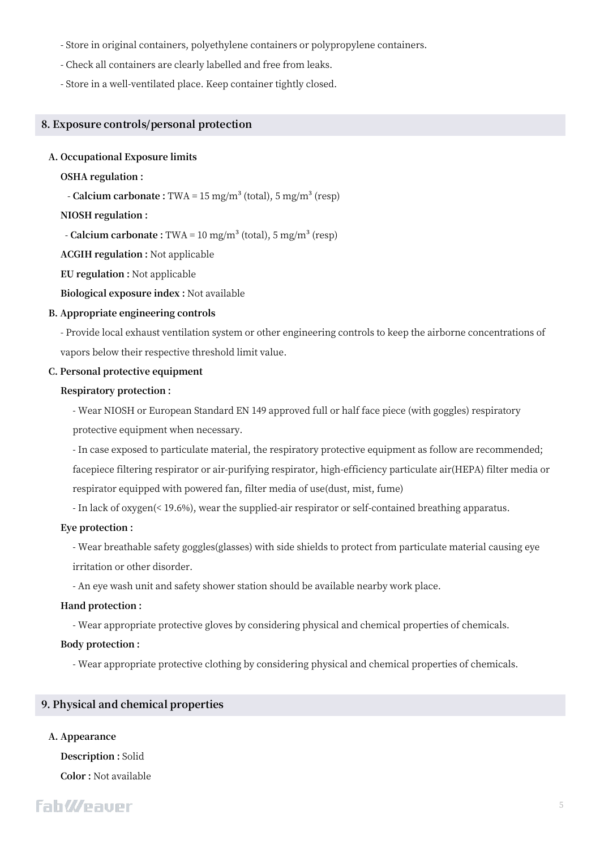- Store in original containers, polyethylene containers or polypropylene containers.
- Check all containers are clearly labelled and free from leaks.
- Store in a well-ventilated place. Keep container tightly closed.

#### **8. Exposure controls/personal protection**

#### **A. Occupational Exposure limits**

#### **OSHA regulation :**

- **Calcium carbonate :** TWA = 15 mg/m<sup>3</sup> (total), 5 mg/m<sup>3</sup> (resp)

#### **NIOSH regulation :**

 $-$  **Calcium carbonate :** TWA = 10 mg/m<sup>3</sup> (total), 5 mg/m<sup>3</sup> (resp)

**ACGIH regulation :** Not applicable

**EU regulation :** Not applicable

**Biological exposure index :** Not available

#### **B. Appropriate engineering controls**

- Provide local exhaust ventilation system or other engineering controls to keep the airborne concentrations of vapors below their respective threshold limit value.

#### **C. Personal protective equipment**

#### **Respiratory protection :**

- Wear NIOSH or European Standard EN 149 approved full or half face piece (with goggles) respiratory protective equipment when necessary.

- In case exposed to particulate material, the respiratory protective equipment as follow are recommended; facepiece filtering respirator or air-purifying respirator, high-efficiency particulate air(HEPA) filter media or respirator equipped with powered fan, filter media of use(dust, mist, fume)

- In lack of oxygen(< 19.6%), wear the supplied-air respirator or self-contained breathing apparatus.

#### **Eye protection :**

- Wear breathable safety goggles(glasses) with side shields to protect from particulate material causing eye irritation or other disorder.

- An eye wash unit and safety shower station should be available nearby work place.

#### **Hand protection :**

- Wear appropriate protective gloves by considering physical and chemical properties of chemicals.

#### **Body protection :**

- Wear appropriate protective clothing by considering physical and chemical properties of chemicals.

#### **9. Physical and chemical properties**

# **A. Appearance**

**Description :** Solid **Color :** Not available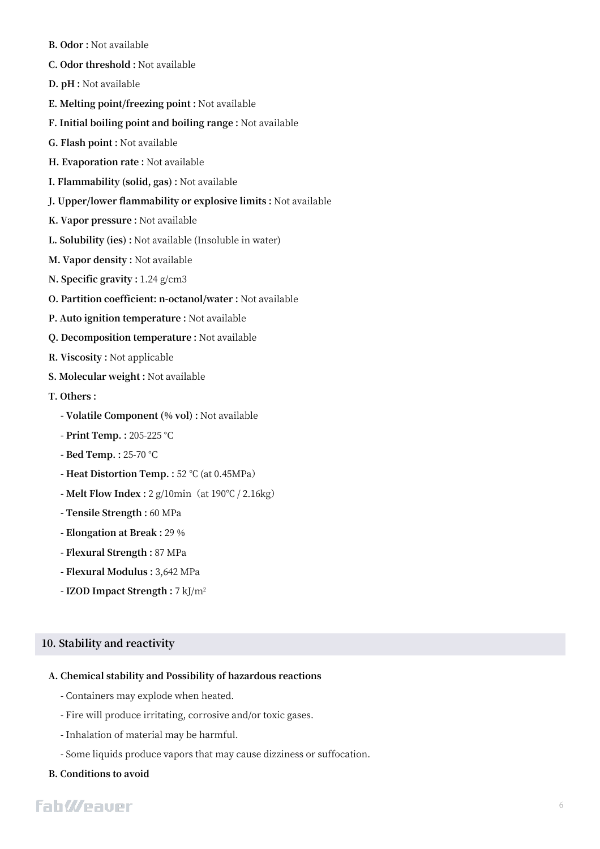- **B. Odor :** Not available
- **C. Odor threshold :** Not available
- **D. pH :** Not available
- **E. Melting point/freezing point :** Not available
- **F. Initial boiling point and boiling range :** Not available
- **G. Flash point :** Not available
- **H. Evaporation rate :** Not available
- **I. Flammability (solid, gas) :** Not available
- **J. Upper/lower flammability or explosive limits :** Not available
- **K. Vapor pressure :** Not available
- **L. Solubility (ies) :** Not available (Insoluble in water)
- **M. Vapor density :** Not available
- **N. Specific gravity :** 1.24 g/cm3
- **O. Partition coefficient: n-octanol/water :** Not available
- **P. Auto ignition temperature :** Not available
- **Q. Decomposition temperature :** Not available
- **R. Viscosity :** Not applicable
- **S. Molecular weight :** Not available
- **T. Others :** 
	- **- Volatile Component (% vol) :** Not available
	- **- Print Temp. :** 205-225 °C
	- **- Bed Temp. :** 25-70 °C
	- **- Heat Distortion Temp. :** 52 ℃ (at 0.45MPa)
	- **- Melt Flow Index :** 2 g/10min(at 190℃ / 2.16kg)
	- **- Tensile Strength :** 60 MPa
	- **- Elongation at Break :** 29 %
	- **- Flexural Strength :** 87 MPa
	- **- Flexural Modulus :** 3,642 MPa
	- **- IZOD Impact Strength :** 7 kJ/m<sup>2</sup>

#### **10. Stability and reactivity**

#### **A. Chemical stability and Possibility of hazardous reactions**

- Containers may explode when heated.
- Fire will produce irritating, corrosive and/or toxic gases.
- Inhalation of material may be harmful.
- Some liquids produce vapors that may cause dizziness or suffocation.

#### **B. Conditions to avoid**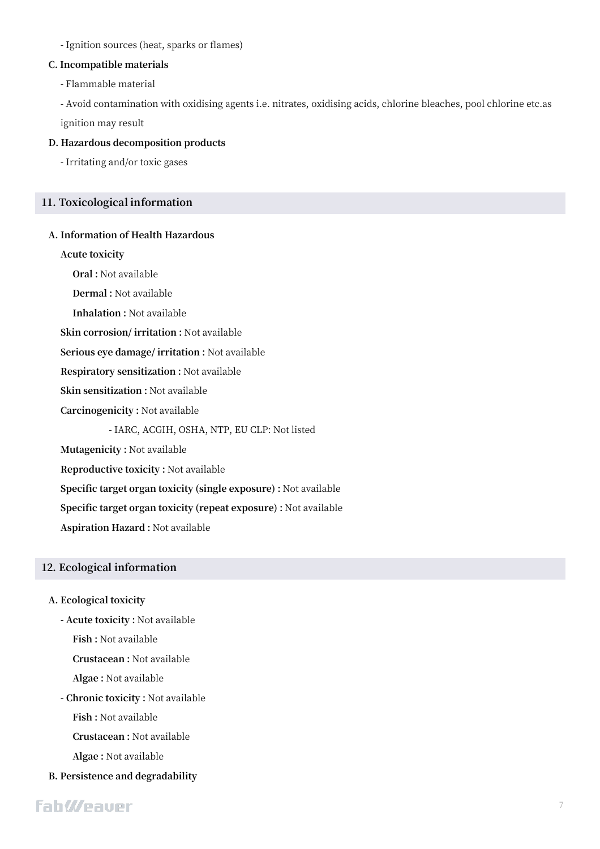- Ignition sources (heat, sparks or flames)

#### **C. Incompatible materials**

- Flammable material

- Avoid contamination with oxidising agents i.e. nitrates, oxidising acids, chlorine bleaches, pool chlorine etc.as ignition may result

#### **D. Hazardous decomposition products**

- Irritating and/or toxic gases

#### **11. Toxicological information**

#### **A. Information of Health Hazardous**

**Acute toxicity**

**Oral :** Not available

**Dermal :** Not available

**Inhalation :** Not available

**Skin corrosion/ irritation :** Not available

**Serious eye damage/ irritation :** Not available

**Respiratory sensitization :** Not available

**Skin sensitization :** Not available

**Carcinogenicity :** Not available

- IARC, ACGIH, OSHA, NTP, EU CLP: Not listed

**Mutagenicity :** Not available

**Reproductive toxicity :** Not available

**Specific target organ toxicity (single exposure) :** Not available

**Specific target organ toxicity (repeat exposure) :** Not available

**Aspiration Hazard :** Not available

#### **12. Ecological information**

#### **A. Ecological toxicity**

**- Acute toxicity :** Not available

**Fish :** Not available

**Crustacean :** Not available

**Algae :** Not available

**- Chronic toxicity :** Not available

**Fish :** Not available

**Crustacean :** Not available

**Algae :** Not available

**B. Persistence and degradability**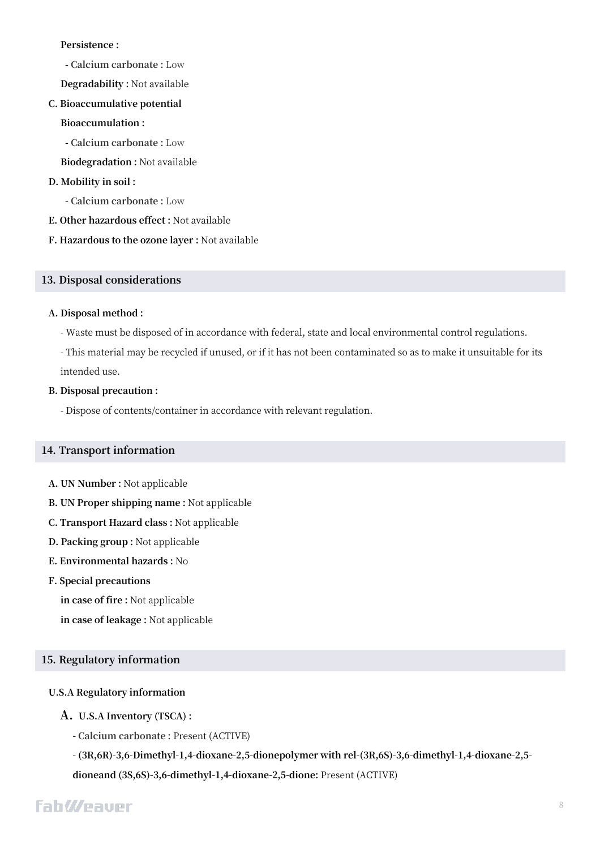#### **Persistence :**

- **- Calcium carbonate :** Low
- **Degradability :** Not available
- **C. Bioaccumulative potential**

#### **Bioaccumulation :**

**- Calcium carbonate :** Low

**Biodegradation :** Not available

#### **D. Mobility in soil :**

- **- Calcium carbonate :** Low
- **E. Other hazardous effect :** Not available
- **F. Hazardous to the ozone layer :** Not available

#### **13. Disposal considerations**

#### **A. Disposal method :**

- Waste must be disposed of in accordance with federal, state and local environmental control regulations.
- This material may be recycled if unused, or if it has not been contaminated so as to make it unsuitable for its intended use.

#### **B. Disposal precaution :**

- Dispose of contents/container in accordance with relevant regulation.

#### **14. Transport information**

- **A. UN Number :** Not applicable
- **B. UN Proper shipping name :** Not applicable
- **C. Transport Hazard class :** Not applicable
- **D. Packing group :** Not applicable
- **E. Environmental hazards :** No

#### **F. Special precautions**

**in case of fire :** Not applicable

**in case of leakage :** Not applicable

#### **15. Regulatory information**

#### **U.S.A Regulatory information**

#### **A. U.S.A Inventory (TSCA) :**

**- Calcium carbonate :** Present (ACTIVE)

**- (3R,6R)-3,6-Dimethyl-1,4-dioxane-2,5-dionepolymer with rel-(3R,6S)-3,6-dimethyl-1,4-dioxane-2,5 dioneand (3S,6S)-3,6-dimethyl-1,4-dioxane-2,5-dione:** Present (ACTIVE)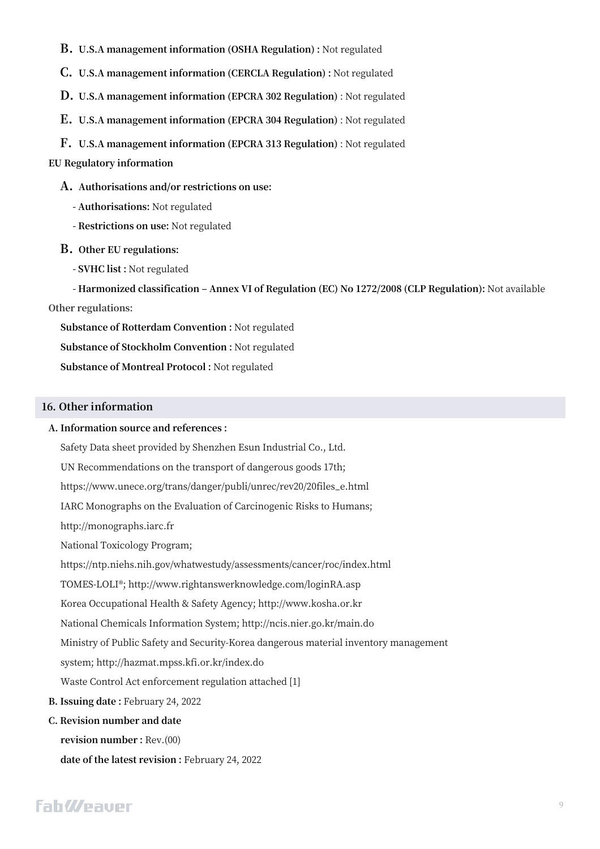**B. U.S.A management information (OSHA Regulation) :** Not regulated

**C. U.S.A management information (CERCLA Regulation) :** Not regulated

**D. U.S.A management information (EPCRA 302 Regulation)** : Not regulated

**E. U.S.A management information (EPCRA 304 Regulation)** : Not regulated

**F. U.S.A management information (EPCRA 313 Regulation)** : Not regulated

#### **EU Regulatory information**

**A. Authorisations and/or restrictions on use:**

- **- Authorisations:** Not regulated
- **- Restrictions on use:** Not regulated
- **B. Other EU regulations:**
	- **- SVHC list :** Not regulated

**- Harmonized classification ‒ Annex VI of Regulation (EC) No 1272/2008 (CLP Regulation):** Not available **Other regulations:**

**Substance of Rotterdam Convention :** Not regulated **Substance of Stockholm Convention :** Not regulated **Substance of Montreal Protocol :** Not regulated

#### **16. Other information**

#### **A. Information source and references :**

Safety Data sheet provided by Shenzhen Esun Industrial Co., Ltd.

UN Recommendations on the transport of dangerous goods 17th;

https://www.unece.org/trans/danger/publi/unrec/rev20/20files\_e.html

IARC Monographs on the Evaluation of Carcinogenic Risks to Humans;

http://monographs.iarc.fr

National Toxicology Program;

https://ntp.niehs.nih.gov/whatwestudy/assessments/cancer/roc/index.html

TOMES-LOLI®; http://www.rightanswerknowledge.com/loginRA.asp

Korea Occupational Health & Safety Agency; http://www.kosha.or.kr

National Chemicals Information System; http://ncis.nier.go.kr/main.do

Ministry of Public Safety and Security-Korea dangerous material inventory management

system; http://hazmat.mpss.kfi.or.kr/index.do

Waste Control Act enforcement regulation attached [1]

**B. Issuing date :** February 24, 2022

#### **C. Revision number and date**

**revision number :** Rev.(00)

**date of the latest revision :** February 24, 2022